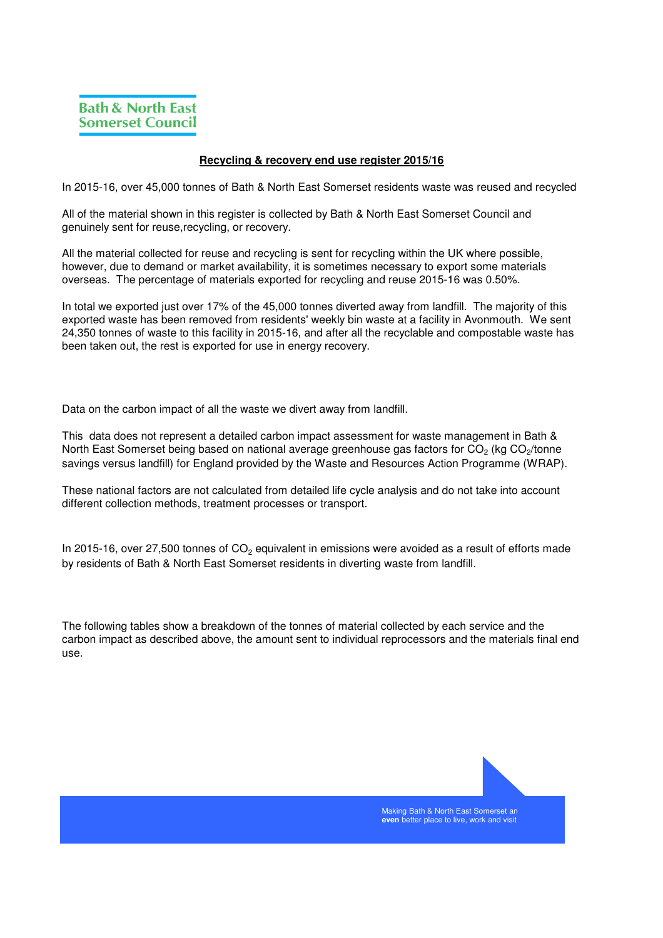## **Recycling & recovery end use register 2015/16**

In 2015-16, over 45,000 tonnes of Bath & North East Somerset residents waste was reused and recycled

All of the material shown in this register is collected by Bath & North East Somerset Council and genuinely sent for reuse,recycling, or recovery.

All the material collected for reuse and recycling is sent for recycling within the UK where possible, however, due to demand or market availability, it is sometimes necessary to export some materials overseas. The percentage of materials exported for recycling and reuse 2015-16 was 0.50%.

In total we exported just over 17% of the 45,000 tonnes diverted away from landfill. The majority of this exported waste has been removed from residents' weekly bin waste at a facility in Avonmouth. We sent 24,350 tonnes of waste to this facility in 2015-16, and after all the recyclable and compostable waste has been taken out, the rest is exported for use in energy recovery.

Data on the carbon impact of all the waste we divert away from landfill.

This data does not represent a detailed carbon impact assessment for waste management in Bath & North East Somerset being based on national average greenhouse gas factors for CO<sub>2</sub> (kg CO<sub>2</sub>/tonne savings versus landfill) for England provided by the Waste and Resources Action Programme (WRAP).

These national factors are not calculated from detailed life cycle analysis and do not take into account different collection methods, treatment processes or transport.

In 2015-16, over 27,500 tonnes of  $\mathrm{CO}_2$  equivalent in emissions were avoided as a result of efforts made by residents of Bath & North East Somerset residents in diverting waste from landfill.

The following tables show a breakdown of the tonnes of material collected by each service and the carbon impact as described above, the amount sent to individual reprocessors and the materials final end use.



Making Bath & North East Somerset an **even** better place to live, work and visit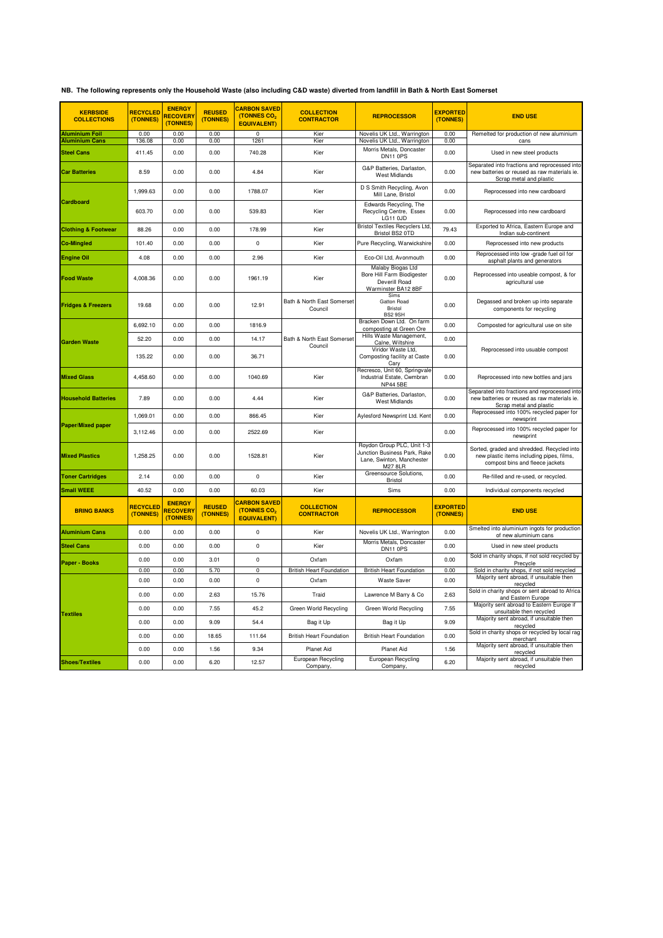|  |  |  | NB. The following represents only the Household Waste (also including C&D waste) diverted from landfill in Bath & North East Somerset |
|--|--|--|---------------------------------------------------------------------------------------------------------------------------------------|
|--|--|--|---------------------------------------------------------------------------------------------------------------------------------------|

| <b>KERBSIDE</b><br><b>COLLECTIONS</b> | <b>RECYCLED</b><br>(TONNES) | <b>ENERGY</b><br><b>RECOVERY</b><br>(TONNES) | <b>REUSED</b><br>(TONNES) | <b>CARBON SAVED</b><br>(TONNES CO <sub>2</sub><br><b>EQUIVALENT)</b> | <b>COLLECTION</b><br><b>CONTRACTOR</b> | <b>REPROCESSOR</b>                                                                                        | <b>EXPORTED</b><br>(TONNES) | <b>END USE</b>                                                                                                             |
|---------------------------------------|-----------------------------|----------------------------------------------|---------------------------|----------------------------------------------------------------------|----------------------------------------|-----------------------------------------------------------------------------------------------------------|-----------------------------|----------------------------------------------------------------------------------------------------------------------------|
| <b>Aluminium Foil</b>                 | 0.00                        | 0.00                                         | 0.00                      | $\overline{0}$                                                       | Kier                                   | Novelis UK Ltd., Warrington                                                                               | 0.00                        | Remelted for production of new aluminium                                                                                   |
| <b>Aluminium Cans</b>                 | 136.08                      | 0.00                                         | 0.00                      | 1261                                                                 | Kier                                   | Novelis UK Ltd., Warrington<br>Morris Metals, Doncaster                                                   | 0.00                        | cans                                                                                                                       |
| <b>Steel Cans</b>                     | 411.45                      | 0.00                                         | 0.00                      | 740.28                                                               | Kier                                   | DN11 0PS                                                                                                  | 0.00                        | Used in new steel products                                                                                                 |
| <b>Car Batteries</b>                  | 8.59                        | 0.00                                         | 0.00                      | 4.84                                                                 | Kier                                   | G&P Batteries, Darlaston,<br><b>West Midlands</b>                                                         | 0.00                        | Separated into fractions and reprocessed into<br>new batteries or reused as raw materials ie.<br>Scrap metal and plastic   |
| <b>Cardboard</b>                      | 1,999.63                    | 0.00                                         | 0.00                      | 1788.07                                                              | Kier                                   | D S Smith Recycling, Avon<br>Mill Lane, Bristol                                                           | 0.00                        | Reprocessed into new cardboard                                                                                             |
|                                       | 603.70                      | 0.00                                         | 0.00                      | 539.83                                                               | Kier                                   | Edwards Recycling, The<br>Recycling Centre, Essex<br>LG11 0JD                                             | 0.00                        | Reprocessed into new cardboard                                                                                             |
| <b>Clothing &amp; Footwear</b>        | 88.26                       | 0.00                                         | 0.00                      | 178.99                                                               | Kier                                   | <b>Bristol Textiles Recyclers Ltd.</b><br>Bristol BS2 0TD                                                 | 79.43                       | Exported to Africa, Eastern Europe and<br>Indian sub-continent                                                             |
| <b>Co-Mingled</b>                     | 101.40                      | 0.00                                         | 0.00                      | 0                                                                    | Kier                                   | Pure Recycling, Warwickshire                                                                              | 0.00                        | Reprocessed into new products                                                                                              |
| <b>Engine Oil</b>                     | 4.08                        | 0.00                                         | 0.00                      | 2.96                                                                 | Kier                                   | Eco-Oil Ltd, Avonmouth                                                                                    | 0.00                        | Reprocessed into low -grade fuel oil for                                                                                   |
| <b>Food Waste</b>                     | 4,008.36                    | 0.00                                         | 0.00                      | 1961.19                                                              | Kier                                   | Malaby Biogas Ltd<br>Bore Hill Farm Biodigester<br>Deverill Road<br>Warminster BA12 8BF                   | 0.00                        | asphalt plants and generators<br>Reprocessed into useable compost, & for<br>agricultural use                               |
| <b>Fridges &amp; Freezers</b>         | 19.68                       | 0.00                                         | 0.00                      | 12.91                                                                | Bath & North East Somerset<br>Council  | Sims<br><b>Gatton Road</b><br><b>Bristol</b><br>BS2 9SH                                                   | 0.00                        | Degassed and broken up into separate<br>components for recycling                                                           |
|                                       | 6,692.10                    | 0.00                                         | 0.00                      | 1816.9                                                               |                                        | Bracken Down Ltd. On farm<br>composting at Green Ore                                                      | 0.00                        | Composted for agricultural use on site                                                                                     |
|                                       | 52.20                       | 0.00                                         | 0.00                      | 14.17                                                                | Bath & North East Somerset             | Hills Waste Management,                                                                                   | 0.00                        |                                                                                                                            |
| <b>Garden Waste</b>                   | 135.22                      | 0.00                                         | 0.00                      | 36.71                                                                | Council                                | Calne, Wiltshire<br>Viridor Waste Ltd.<br>Composting facility at Caste<br>Carv                            | 0.00                        | Reprocessed into usuable compost                                                                                           |
| <b>Mixed Glass</b>                    | 4,458.60                    | 0.00                                         | 0.00                      | 1040.69                                                              | Kier                                   | Recresco, Unit 60, Springvale<br>Industrial Estate, Cwmbran<br><b>NP44 5BE</b>                            | 0.00                        | Reprocessed into new bottles and jars                                                                                      |
| <b>Household Batteries</b>            | 7.89                        | 0.00                                         | 0.00                      | 4.44                                                                 | Kier                                   | G&P Batteries, Darlaston,<br>West Midlands                                                                | 0.00                        | Separated into fractions and reprocessed into<br>new batteries or reused as raw materials ie.<br>Scrap metal and plastic   |
|                                       | 1,069.01                    | 0.00                                         | 0.00                      | 866.45                                                               | Kier                                   | Aylesford Newsprint Ltd. Kent                                                                             | 0.00                        | Reprocessed into 100% recycled paper for<br>newsprint                                                                      |
| <b>Paper/Mixed paper</b>              | 3,112.46                    | 0.00                                         | 0.00                      | 2522.69                                                              | Kier                                   |                                                                                                           | 0.00                        | Reprocessed into 100% recycled paper for<br>newsprint                                                                      |
| <b>Mixed Plastics</b>                 | 1,258.25                    | 0.00                                         | 0.00                      | 1528.81                                                              | Kier                                   | Roydon Group PLC, Unit 1-3<br>Junction Business Park, Rake<br>Lane, Swinton, Manchester<br><b>M27 8LR</b> | 0.00                        | Sorted, graded and shredded. Recycled into<br>new plastic items including pipes, films,<br>compost bins and fleece jackets |
| <b>Toner Cartridges</b>               | 2.14                        | 0.00                                         | 0.00                      | $\Omega$                                                             | Kier                                   | Greensource Solutions,<br><b>Bristol</b>                                                                  | 0.00                        | Re-filled and re-used, or recycled.                                                                                        |
| <b>Small WEEE</b>                     | 40.52                       | 0.00                                         | 0.00                      | 60.03                                                                | Kier                                   | Sims                                                                                                      | 0.00                        | Individual components recycled                                                                                             |
| <b>BRING BANKS</b>                    | <b>RECYCLED</b><br>(TONNES) | <b>ENERGY</b><br><b>RECOVERY</b><br>(TONNES) | <b>REUSED</b><br>(TONNES) | <b>CARBON SAVED</b><br>(TONNES CO <sub>2</sub><br><b>EQUIVALENT)</b> | <b>COLLECTION</b><br><b>CONTRACTOR</b> | <b>REPROCESSOR</b>                                                                                        | <b>EXPORTED</b><br>(TONNES) | <b>END USE</b>                                                                                                             |
| <b>Aluminium Cans</b>                 | 0.00                        | 0.00                                         | 0.00                      | 0                                                                    | Kier                                   | Novelis UK Ltd., Warrington                                                                               | 0.00                        | Smelted into aluminium ingots for production<br>of new aluminium cans                                                      |
| <b>Steel Cans</b>                     | 0.00                        | 0.00                                         | 0.00                      | $\mathsf 0$                                                          | Kier                                   | Morris Metals, Doncaster<br>DN11 OPS                                                                      | 0.00                        | Used in new steel products                                                                                                 |
|                                       | 0.00                        | 0.00                                         | 3.01                      | $\mathsf 0$                                                          | Oxfam                                  | Oxfam                                                                                                     | 0.00                        | Sold in charity shops, if not sold recycled by                                                                             |
| Paper - Books                         | 0.00                        | 0.00                                         | 5.70                      | 0                                                                    | <b>British Heart Foundation</b>        | <b>British Heart Foundation</b>                                                                           | 0.00                        | Precycle<br>Sold in charity shops, if not sold recycled                                                                    |
|                                       | 0.00                        | 0.00                                         | 0.00                      | 0                                                                    | Oxfam                                  | <b>Waste Saver</b>                                                                                        | 0.00                        | Majority sent abroad, if unsuitable then<br>recvcled                                                                       |
|                                       | 0.00                        | 0.00                                         | 2.63                      | 15.76                                                                | Traid                                  | Lawrence M Barry & Co                                                                                     | 2.63                        | Sold in charity shops or sent abroad to Africa<br>and Eastern Europe                                                       |
| <b>Textiles</b>                       | 0.00                        | 0.00                                         | 7.55                      | 45.2                                                                 | Green World Recycling                  | Green World Recycling                                                                                     | 7.55                        | Majority sent abroad to Eastern Europe if<br>unsuitable then recycled                                                      |
|                                       | 0.00                        | 0.00                                         | 9.09                      | 54.4                                                                 | Bag it Up                              | Bag it Up                                                                                                 | 9.09                        | Majority sent abroad, if unsuitable then<br>recycled                                                                       |
|                                       | 0.00                        | 0.00                                         | 18.65                     | 111.64                                                               | <b>British Heart Foundation</b>        | <b>British Heart Foundation</b>                                                                           | 0.00                        | Sold in charity shops or recycled by local rag<br>merchant                                                                 |
|                                       | 0.00                        | 0.00                                         | 1.56                      | 9.34                                                                 | Planet Aid                             | <b>Planet Aid</b>                                                                                         | 1.56                        | Majority sent abroad, if unsuitable then                                                                                   |
| <b>Shoes/Textiles</b>                 | 0.00                        | 0.00                                         | 6.20                      | 12.57                                                                | European Recycling<br>Company,         | European Recycling<br>Company,                                                                            | 6.20                        | recycled<br>Majority sent abroad, if unsuitable then<br>recycled                                                           |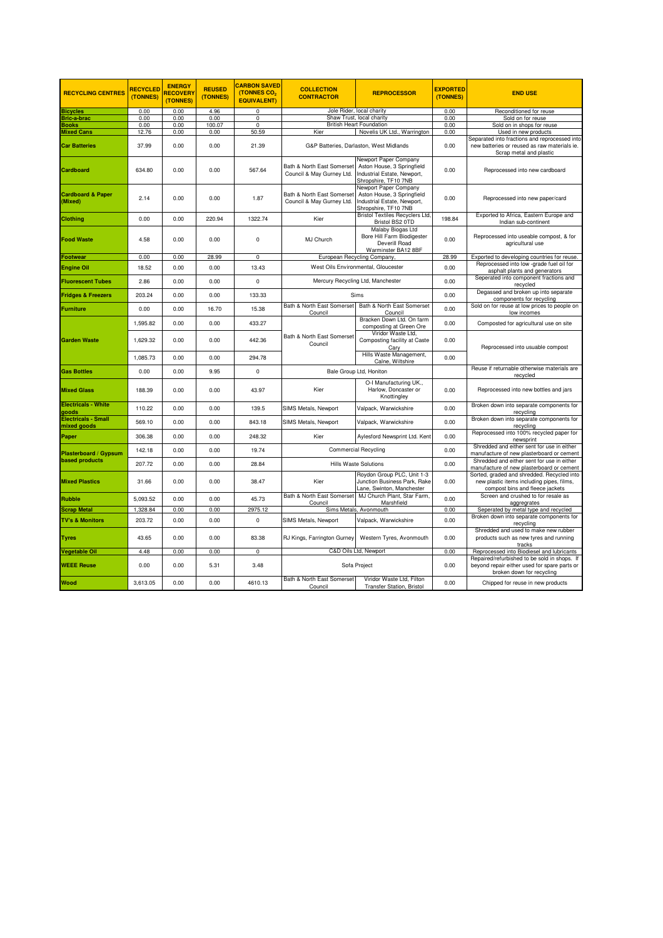| <b>RECYCLING CENTRES</b>                  | <b>RECYCLED</b><br>(TONNES) | <b>ENERGY</b><br><b>RECOVERY</b><br>(TONNES) | <b>REUSED</b><br>(TONNES) | <b>CARBON SAVED</b><br>(TONNES CO <sub>2</sub><br><b>EQUIVALENT)</b> | <b>COLLECTION</b><br><b>CONTRACTOR</b>                  | <b>REPROCESSOR</b>                                                                                         | <b>EXPORTED</b><br>(TONNES) | <b>END USE</b>                                                                                                             |
|-------------------------------------------|-----------------------------|----------------------------------------------|---------------------------|----------------------------------------------------------------------|---------------------------------------------------------|------------------------------------------------------------------------------------------------------------|-----------------------------|----------------------------------------------------------------------------------------------------------------------------|
| <b>Bicycles</b>                           | 0.00                        | 0.00                                         | 4.96                      | 0                                                                    |                                                         | Jole Rider, local charity                                                                                  | 0.00                        | Reconditioned for reuse                                                                                                    |
| <b>Bric-a-brac</b>                        | 0.00                        | 0.00                                         | 0.00                      | $\overline{0}$                                                       | Shaw Trust, local charity                               |                                                                                                            | 0.00                        | Sold on for reuse                                                                                                          |
| <b>Books</b>                              | 0.00                        | 0.00                                         | 100.07                    | $\mathbf 0$                                                          | <b>British Heart Foundation</b>                         |                                                                                                            | 0.00                        | Sold on in shops for reuse                                                                                                 |
| <b>Mixed Cans</b>                         | 12.76                       | 0.00                                         | 0.00                      | 50.59                                                                | Kier                                                    | Novelis UK Ltd., Warrington                                                                                | 0.00                        | Used in new products<br>Separated into fractions and reprocessed into                                                      |
| <b>Car Batteries</b>                      | 37.99                       | 0.00                                         | 0.00                      | 21.39                                                                | G&P Batteries, Darlaston, West Midlands                 |                                                                                                            | 0.00                        | new batteries or reused as raw materials ie.<br>Scrap metal and plastic                                                    |
| <b>Cardboard</b>                          | 634.80                      | 0.00                                         | 0.00                      | 567.64                                                               | Bath & North East Somerset<br>Council & May Gurney Ltd. | Newport Paper Company<br>Aston House, 3 Springfield<br>Industrial Estate, Newport,<br>Shropshire, TF10 7NB | 0.00                        | Reprocessed into new cardboard                                                                                             |
| <b>Cardboard &amp; Paper</b><br>(Mixed)   | 2.14                        | 0.00                                         | 0.00                      | 1.87                                                                 | Bath & North East Somerset<br>Council & May Gurney Ltd. | Newport Paper Company<br>Aston House, 3 Springfield<br>Industrial Estate, Newport,<br>Shropshire, TF10 7NB | 0.00                        | Reprocessed into new paper/card                                                                                            |
| <b>Clothing</b>                           | 0.00                        | 0.00                                         | 220.94                    | 1322.74                                                              | Kier                                                    | <b>Bristol Textiles Recyclers Ltd.</b><br>Bristol BS2 0TD                                                  | 198.84                      | Exported to Africa, Eastern Europe and<br>Indian sub-continent                                                             |
| <b>Food Waste</b>                         | 4.58                        | 0.00                                         | 0.00                      | $\mathbf 0$                                                          | MJ Church                                               | Malaby Biogas Ltd<br>Bore Hill Farm Biodigester<br>Deverill Road<br>Warminster BA12 8BF                    | 0.00                        | Reprocessed into useable compost, & for<br>agricultural use                                                                |
| <b>Footwear</b>                           | 0.00                        | 0.00                                         | 28.99                     | $\mathsf 0$                                                          |                                                         | European Recycling Company,                                                                                | 28.99                       | Exported to developing countries for reuse.                                                                                |
| <b>Engine Oil</b>                         | 18.52                       | 0.00                                         | 0.00                      | 13.43                                                                | West Oils Environmental, Gloucester                     |                                                                                                            | 0.00                        | Reprocessed into low -grade fuel oil for<br>asphalt plants and generators                                                  |
| <b>Fluorescent Tubes</b>                  | 2.86                        | 0.00                                         | 0.00                      | $\mathsf 0$                                                          | Mercury Recycling Ltd, Manchester                       |                                                                                                            | 0.00                        | Seperated into component fractions and<br>recycled                                                                         |
| <b>Fridges &amp; Freezers</b>             | 203.24                      | 0.00                                         | 0.00                      | 133.33                                                               |                                                         | Sims                                                                                                       | 0.00                        | Degassed and broken up into separate<br>components for recycling                                                           |
| <b>Furniture</b>                          | 0.00                        | 0.00                                         | 16.70                     | 15.38                                                                | Bath & North East Somerset<br>Council                   | Bath & North East Somerset<br>Council                                                                      | 0.00                        | Sold on for reuse at low prices to people on<br>low incomes                                                                |
|                                           | 1,595.82                    | 0.00                                         | 0.00                      | 433.27                                                               | Bath & North East Somerset<br>Council                   | Bracken Down Ltd. On farm<br>composting at Green Ore                                                       | 0.00                        | Composted for agricultural use on site                                                                                     |
| <b>Garden Waste</b>                       | 1,629.32                    | 0.00                                         | 0.00                      | 442.36                                                               |                                                         | Viridor Waste Ltd,<br>Composting facility at Caste<br>Cary                                                 | 0.00                        | Reprocessed into usuable compost                                                                                           |
|                                           | 1,085.73                    | 0.00                                         | 0.00                      | 294.78                                                               |                                                         | Hills Waste Management,<br>Calne, Wiltshire                                                                | 0.00                        |                                                                                                                            |
| <b>Gas Bottles</b>                        | 0.00                        | 0.00                                         | 9.95                      | $\mathbf 0$                                                          |                                                         | Bale Group Ltd, Honiton                                                                                    |                             | Reuse if returnable otherwise materials are<br>recycled                                                                    |
| <b>Mixed Glass</b>                        | 188.39                      | 0.00                                         | 0.00                      | 43.97                                                                | Kier                                                    | O-I Manufacturing UK.,<br>Harlow, Doncaster or<br>Knottingley                                              | 0.00                        | Reprocessed into new bottles and jars                                                                                      |
| <b>Electricals - White</b><br>goods       | 110.22                      | 0.00                                         | 0.00                      | 139.5                                                                | <b>SIMS Metals, Newport</b>                             | Valpack, Warwickshire                                                                                      | 0.00                        | Broken down into separate components for<br>recycling                                                                      |
| <b>Electricals - Small</b><br>mixed goods | 569.10                      | 0.00                                         | 0.00                      | 843.18                                                               | SIMS Metals, Newport                                    | Valpack, Warwickshire                                                                                      | 0.00                        | Broken down into separate components for<br>recycling                                                                      |
| Paper                                     | 306.38                      | 0.00                                         | 0.00                      | 248.32                                                               | Kier                                                    | Aylesford Newsprint Ltd. Kent                                                                              | 0.00                        | Reprocessed into 100% recycled paper for<br>newsprint                                                                      |
| Plasterboard / Gypsum                     | 142.18                      | 0.00                                         | 0.00                      | 19.74                                                                |                                                         | <b>Commercial Recycling</b>                                                                                | 0.00                        | Shredded and either sent for use in either<br>manufacture of new plasterboard or cement                                    |
| <b>based products</b>                     | 207.72                      | 0.00                                         | 0.00                      | 28.84                                                                | <b>Hills Waste Solutions</b>                            |                                                                                                            | 0.00                        | Shredded and either sent for use in either<br>manufacture of new plasterboard or cement                                    |
| <b>Mixed Plastics</b>                     | 31.66                       | 0.00                                         | 0.00                      | 38.47                                                                | Kier                                                    | Roydon Group PLC, Unit 1-3<br>Junction Business Park, Rake<br>Lane, Swinton, Manchester                    | 0.00                        | Sorted, graded and shredded. Recycled into<br>new plastic items including pipes, films,<br>compost bins and fleece jackets |
| <b>Rubble</b>                             | 5,093.52                    | 0.00                                         | 0.00                      | 45.73                                                                | Bath & North East Somerset<br>Council                   | MJ Church Plant, Star Farm,<br>Marshfield                                                                  | 0.00                        | Screen and crushed to for resale as<br>aggregrates                                                                         |
| <b>Scrap Metal</b>                        | 1,328.84                    | 0.00                                         | 0.00                      | 2975.12                                                              |                                                         | Sims Metals, Avonmouth                                                                                     | 0.00                        | Seperated by metal type and recycled                                                                                       |
| <b>TV's &amp; Monitors</b>                | 203.72                      | 0.00                                         | 0.00                      | 0                                                                    | SIMS Metals, Newport                                    | Valpack, Warwickshire                                                                                      | 0.00                        | Broken down into separate components for<br>recycling                                                                      |
| <b>Tyres</b>                              | 43.65                       | 0.00                                         | 0.00                      | 83.38                                                                | RJ Kings, Farrington Gurney                             | Western Tyres, Avonmouth                                                                                   | 0.00                        | Shredded and used to make new rubber<br>products such as new tyres and running<br>tracks                                   |
| Vegetable Oil                             | 4.48                        | 0.00                                         | 0.00                      | $\mathsf 0$                                                          |                                                         | C&D Oils Ltd, Newport                                                                                      | 0.00                        | Reprocessed into Biodiesel and lubricants                                                                                  |
| <b>WEEE Reuse</b>                         | 0.00                        | 0.00                                         | 5.31                      | 3.48                                                                 | Sofa Project                                            |                                                                                                            | 0.00                        | Repaired/refurbished to be sold in shops. If<br>beyond repair either used for spare parts or<br>broken down for recycling  |
| Wood                                      | 3.613.05                    | 0.00                                         | 0.00                      | 4610.13                                                              | Bath & North East Somerset<br>Council                   | Viridor Waste Ltd. Filton<br><b>Transfer Station, Bristol</b>                                              | 0.00                        | Chipped for reuse in new products                                                                                          |